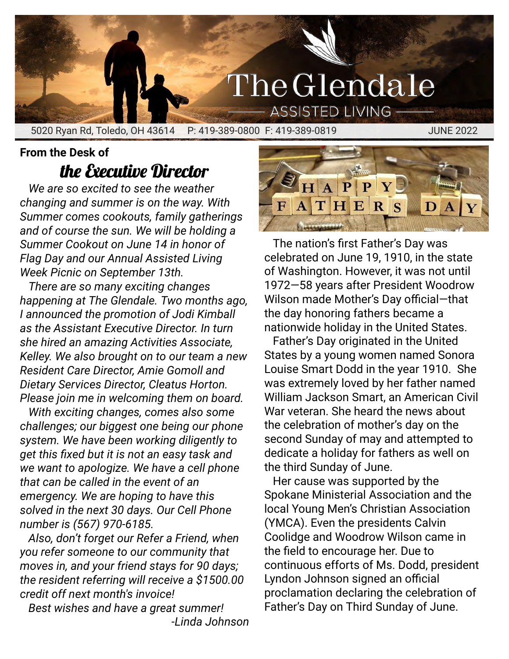## The Glendale **ASSISTED LIVING**

5020 Ryan Rd, Toledo, OH 43614 P: 419-389-0800 F: 419-389-0819 JUNE 2022

# the Executive Director

**From the Desk of**

*We are so excited to see the weather changing and summer is on the way. With Summer comes cookouts, family gatherings and of course the sun. We will be holding a Summer Cookout on June 14 in honor of Flag Day and our Annual Assisted Living Week Picnic on September 13th.*

*There are so many exciting changes happening at The Glendale. Two months ago, I announced the promotion of Jodi Kimball as the Assistant Executive Director. In turn she hired an amazing Activities Associate, Kelley. We also brought on to our team a new Resident Care Director, Amie Gomoll and Dietary Services Director, Cleatus Horton. Please join me in welcoming them on board.*

*With exciting changes, comes also some challenges; our biggest one being our phone system. We have been working diligently to get this fixed but it is not an easy task and we want to apologize. We have a cell phone that can be called in the event of an emergency. We are hoping to have this solved in the next 30 days. Our Cell Phone number is (567) 970-6185.*

*Also, don't forget our Refer a Friend, when you refer someone to our community that moves in, and your friend stays for 90 days; the resident referring will receive a \$1500.00 credit off next month's invoice!*

*Best wishes and have a great summer! -Linda Johnson*



The nation's first Father's Day was celebrated on June 19, 1910, in the state of Washington. However, it was not until 1972—58 years after President Woodrow Wilson made Mother's Day official—that the day honoring fathers became a nationwide holiday in the United States.

Father's Day originated in the United States by a young women named Sonora Louise Smart Dodd in the year 1910. She was extremely loved by her father named William Jackson Smart, an American Civil War veteran. She heard the news about the celebration of mother's day on the second Sunday of may and attempted to dedicate a holiday for fathers as well on the third Sunday of June.

Her cause was supported by the Spokane Ministerial Association and the local Young Men's Christian Association (YMCA). Even the presidents Calvin Coolidge and Woodrow Wilson came in the field to encourage her. Due to continuous efforts of Ms. Dodd, president Lyndon Johnson signed an official proclamation declaring the celebration of Father's Day on Third Sunday of June.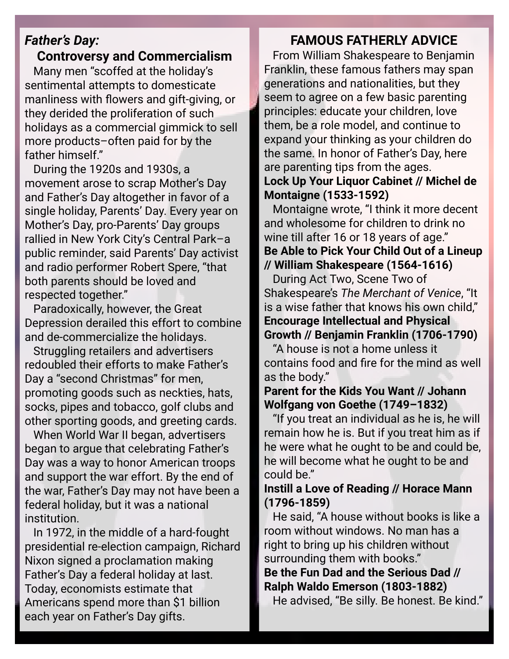## *Father's Day:*

**Controversy and Commercialism**

Many men "scoffed at the holiday's sentimental attempts to domesticate manliness with flowers and gift-giving, or they derided the proliferation of such holidays as a commercial gimmick to sell more products–often paid for by the father himself."

During the 1920s and 1930s, a movement arose to scrap Mother's Day and Father's Day altogether in favor of a single holiday, Parents' Day. Every year on Mother's Day, pro-Parents' Day groups rallied in New York City's Central Park–a public reminder, said Parents' Day activist and radio performer Robert Spere, "that both parents should be loved and respected together."

Paradoxically, however, the Great Depression derailed this effort to combine and de-commercialize the holidays.

Struggling retailers and advertisers redoubled their efforts to make Father's Day a "second Christmas" for men, promoting goods such as neckties, hats, socks, pipes and tobacco, golf clubs and other sporting goods, and greeting cards.

When World War II began, advertisers began to argue that celebrating Father's Day was a way to honor American troops and support the war effort. By the end of the war, Father's Day may not have been a federal holiday, but it was a national institution.

In 1972, in the middle of a hard-fought presidential re-election campaign, Richard Nixon signed a proclamation making Father's Day a federal holiday at last. Today, economists estimate that Americans spend more than \$1 billion each year on Father's Day gifts.

### **FAMOUS FATHERLY ADVICE**

From William Shakespeare to Benjamin Franklin, these famous fathers may span generations and nationalities, but they seem to agree on a few basic parenting principles: educate your children, love them, be a role model, and continue to expand your thinking as your children do the same. In honor of Father's Day, here are parenting tips from the ages. **Lock Up Your Liquor Cabinet // Michel de Montaigne (1533-1592)**

Montaigne wrote, "I think it more decent and wholesome for children to drink no wine till after 16 or 18 years of age." **Be Able to Pick Your Child Out of a Lineup // William Shakespeare (1564-1616)**

During Act Two, Scene Two of Shakespeare's *The Merchant of Venice*, "It is a wise father that knows his own child," **Encourage Intellectual and Physical Growth // Benjamin Franklin (1706-1790)**

"A house is not a home unless it contains food and fire for the mind as well as the body."

#### **Parent for the Kids You Want // Johann Wolfgang von Goethe (1749–1832)**

"If you treat an individual as he is, he will remain how he is. But if you treat him as if he were what he ought to be and could be, he will become what he ought to be and could be."

#### **Instill a Love of Reading // Horace Mann (1796-1859)**

He said, "A house without books is like a room without windows. No man has a right to bring up his children without surrounding them with books."

## **Be the Fun Dad and the Serious Dad // Ralph Waldo Emerson (1803-1882)**

He advised, "Be silly. Be honest. Be kind."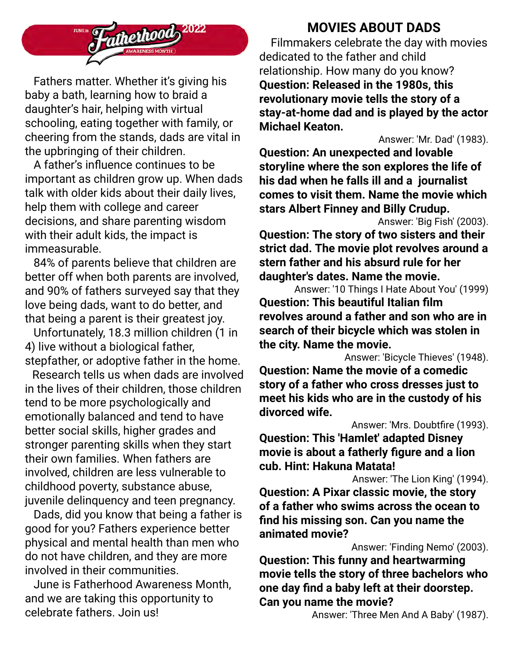

Fathers matter. Whether it's giving his baby a bath, learning how to braid a daughter's hair, helping with virtual schooling, eating together with family, or cheering from the stands, dads are vital in the upbringing of their children.

A father's influence continues to be important as children grow up. When dads talk with older kids about their daily lives, help them with college and career decisions, and share parenting wisdom with their adult kids, the impact is immeasurable.

84% of parents believe that children are better off when both parents are involved, and 90% of fathers surveyed say that they love being dads, want to do better, and that being a parent is their greatest joy.

Unfortunately, 18.3 million children (1 in 4) live without a biological father, stepfather, or adoptive father in the home.

Research tells us when dads are involved in the lives of their children, those children tend to be more psychologically and emotionally balanced and tend to have better social skills, higher grades and stronger parenting skills when they start their own families. When fathers are involved, children are less vulnerable to childhood poverty, substance abuse, juvenile delinquency and teen pregnancy.

Dads, did you know that being a father is good for you? Fathers experience better physical and mental health than men who do not have children, and they are more involved in their communities.

June is Fatherhood Awareness Month, and we are taking this opportunity to celebrate fathers. Join us!

## **MOVIES ABOUT DADS**

Filmmakers celebrate the day with movies dedicated to the father and child relationship. How many do you know? **Question: Released in the 1980s, this revolutionary movie tells the story of a stay-at-home dad and is played by the actor Michael Keaton.**

Answer: 'Mr. Dad' (1983).

**Question: An unexpected and lovable storyline where the son explores the life of his dad when he falls ill and a journalist comes to visit them. Name the movie which stars Albert Finney and Billy Crudup.**

Answer: 'Big Fish' (2003).

**Question: The story of two sisters and their strict dad. The movie plot revolves around a stern father and his absurd rule for her daughter's dates. Name the movie.**

Answer: '10 Things I Hate About You' (1999) **Question: This beautiful Italian film revolves around a father and son who are in search of their bicycle which was stolen in the city. Name the movie.**

Answer: 'Bicycle Thieves' (1948).

**Question: Name the movie of a comedic story of a father who cross dresses just to meet his kids who are in the custody of his divorced wife.**

Answer: 'Mrs. Doubtfire (1993).

**Question: This 'Hamlet' adapted Disney movie is about a fatherly figure and a lion cub. Hint: Hakuna Matata!**

Answer: 'The Lion King' (1994).

**Question: A Pixar classic movie, the story of a father who swims across the ocean to find his missing son. Can you name the animated movie?**

Answer: 'Finding Nemo' (2003).

**Question: This funny and heartwarming movie tells the story of three bachelors who one day find a baby left at their doorstep. Can you name the movie?**

Answer: 'Three Men And A Baby' (1987).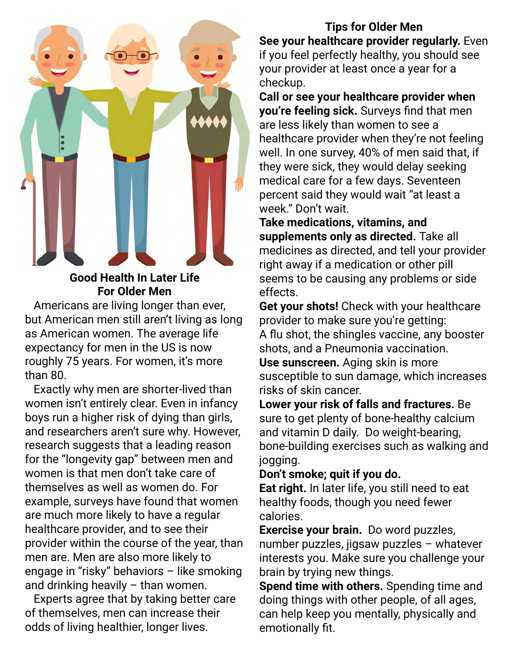

### **Good Health In Later Life For Older Men**

Americans are living longer than ever, but American men still aren't living as long as American women. The average life expectancy for men in the US is now roughly 75 years. For women, it's more than 80.

Exactly why men are shorter-lived than women isn't entirely clear. Even in infancy boys run a higher risk of dying than girls, and researchers aren't sure why. However, research suggests that a leading reason for the "longevity gap" between men and women is that men don't take care of themselves as well as women do. For example, surveys have found that women are much more likely to have a regular healthcare provider, and to see their provider within the course of the year, than men are. Men are also more likely to engage in "risky" behaviors – like smoking and drinking heavily  $-$  than women.

Experts agree that by taking better care of themselves, men can increase their odds of living healthier, longer lives.

**Tips for Older Men See your healthcare provider regularly.** Even if you feel perfectly healthy, you should see your provider at least once a year for a checkup.

**Call or see your healthcare provider when you're feeling sick.** Surveys find that men are less likely than women to see a healthcare provider when they're not feeling well. In one survey, 40% of men said that, if they were sick, they would delay seeking medical care for a few days. Seventeen percent said they would wait "at least a week." Don't wait.

**Take medications, vitamins, and supplements only as directed.** Take all medicines as directed, and tell your provider right away if a medication or other pill seems to be causing any problems or side effects.

**Get your shots!** Check with your healthcare provider to make sure you're getting: A flu shot, the shingles vaccine, any booster shots, and a Pneumonia vaccination.

**Use sunscreen.** Aging skin is more susceptible to sun damage, which increases risks of skin cancer.

**Lower your risk of falls and fractures.** Be sure to get plenty of bone-healthy calcium and vitamin D daily. Do weight-bearing, bone-building exercises such as walking and jogging.

#### **Don't smoke; quit if you do.**

**Eat right.** In later life, you still need to eat healthy foods, though you need fewer calories.

**Exercise your brain.** Do word puzzles, number puzzles, jigsaw puzzles – whatever interests you. Make sure you challenge your brain by trying new things.

**Spend time with others.** Spending time and doing things with other people, of all ages, can help keep you mentally, physically and emotionally fit.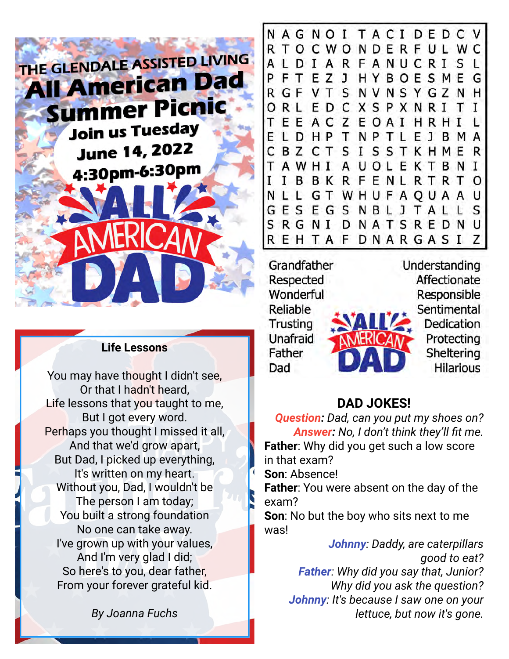

#### **Life Lessons**

You may have thought I didn't see, Or that I hadn't heard, Life lessons that you taught to me, But I got every word. Perhaps you thought I missed it all, And that we'd grow apart, But Dad, I picked up everything, It's written on my heart. Without you, Dad, I wouldn't be The person I am today; You built a strong foundation No one can take away. I've grown up with your values, And I'm very glad I did; So here's to you, dear father, From your forever grateful kid.

*By Joanna Fuchs*

NAGNOI TACIDEDC RTOCWONDERFULWC ALDIARFANUCRISL FTEZJ HYBOESMEG P R GF VT S NVNSY GZ N H ORL ED C X S P X N R I T EE ACZEOAI HRHI L LDHP T NP T L E J B M A **BZCTSISSTKHME** C R AUOLEKTBNI AWHI **IBBKRFENLRTRT**  $\Omega$ N L L G T W H U F A Q U A A U GESEGSNBLJTALL S S R G N I D N A T S R E D N U R E H T A F D N A R G A S I 7

Grandfather Respected Wonderful Reliable Trusting Unafraid Father Dad

Understanding Affectionate Responsible Sentimental Dedication Protecting Sheltering **Hilarious** 

## **DAD JOKES!**

*Question: Dad, can you put my shoes on? Answer: No, I don't think they'll fit me.* **Father**: Why did you get such a low score in that exam?

**Son**: Absence!

**Father**: You were absent on the day of the exam?

**Son**: No but the boy who sits next to me was!

> *Johnny: Daddy, are caterpillars good to eat? Father: Why did you say that, Junior? Why did you ask the question? Johnny: It's because I saw one on your lettuce, but now it's gone.*